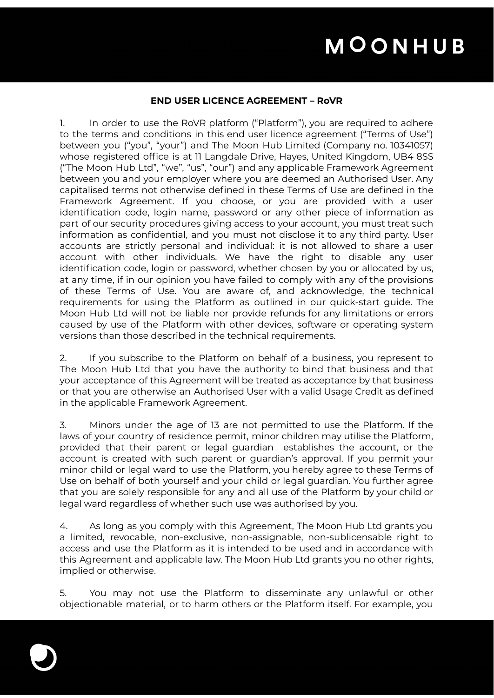### **END USER LICENCE AGREEMENT – RoVR**

1. In order to use the RoVR platform ("Platform"), you are required to adhere to the terms and conditions in this end user licence agreement ("Terms of Use") between you ("you", "your") and The Moon Hub Limited (Company no. 10341057) whose registered office is at 11 Langdale Drive, Hayes, United Kingdom, UB4 8SS ("The Moon Hub Ltd", "we", "us", "our") and any applicable Framework Agreement between you and your employer where you are deemed an Authorised User. Any capitalised terms not otherwise defined in these Terms of Use are defined in the Framework Agreement. If you choose, or you are provided with a user identification code, login name, password or any other piece of information as part of our security procedures giving access to your account, you must treat such information as confidential, and you must not disclose it to any third party. User accounts are strictly personal and individual: it is not allowed to share a user account with other individuals. We have the right to disable any user identification code, login or password, whether chosen by you or allocated by us, at any time, if in our opinion you have failed to comply with any of the provisions of these Terms of Use. You are aware of, and acknowledge, the technical requirements for using the Platform as outlined in our quick-start guide. The Moon Hub Ltd will not be liable nor provide refunds for any limitations or errors caused by use of the Platform with other devices, software or operating system versions than those described in the technical requirements.

2. If you subscribe to the Platform on behalf of a business, you represent to The Moon Hub Ltd that you have the authority to bind that business and that your acceptance of this Agreement will be treated as acceptance by that business or that you are otherwise an Authorised User with a valid Usage Credit as defined in the applicable Framework Agreement.

3. Minors under the age of 13 are not permitted to use the Platform. If the laws of your country of residence permit, minor children may utilise the Platform, provided that their parent or legal guardian establishes the account, or the account is created with such parent or guardian's approval. If you permit your minor child or legal ward to use the Platform, you hereby agree to these Terms of Use on behalf of both yourself and your child or legal guardian. You further agree that you are solely responsible for any and all use of the Platform by your child or legal ward regardless of whether such use was authorised by you.

4. As long as you comply with this Agreement, The Moon Hub Ltd grants you a limited, revocable, non-exclusive, non-assignable, non-sublicensable right to access and use the Platform as it is intended to be used and in accordance with this Agreement and applicable law. The Moon Hub Ltd grants you no other rights, implied or otherwise.

5. You may not use the Platform to disseminate any unlawful or other objectionable material, or to harm others or the Platform itself. For example, you

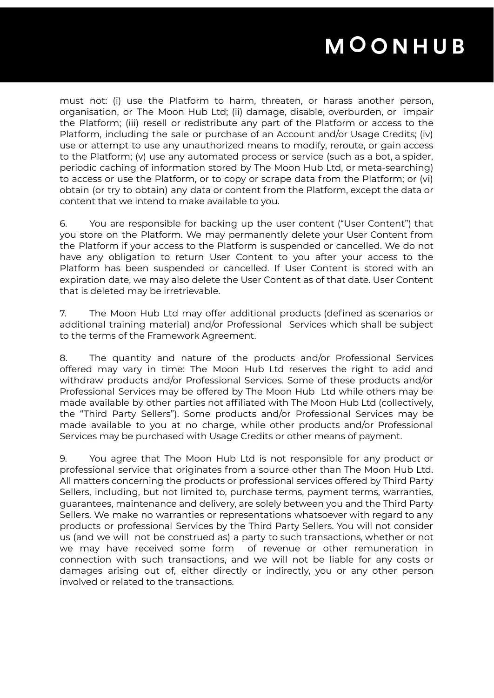must not: (i) use the Platform to harm, threaten, or harass another person, organisation, or The Moon Hub Ltd; (ii) damage, disable, overburden, or impair the Platform; (iii) resell or redistribute any part of the Platform or access to the Platform, including the sale or purchase of an Account and/or Usage Credits; (iv) use or attempt to use any unauthorized means to modify, reroute, or gain access to the Platform; (v) use any automated process or service (such as a bot, a spider, periodic caching of information stored by The Moon Hub Ltd, or meta-searching) to access or use the Platform, or to copy or scrape data from the Platform; or (vi) obtain (or try to obtain) any data or content from the Platform, except the data or content that we intend to make available to you.

6. You are responsible for backing up the user content ("User Content") that you store on the Platform. We may permanently delete your User Content from the Platform if your access to the Platform is suspended or cancelled. We do not have any obligation to return User Content to you after your access to the Platform has been suspended or cancelled. If User Content is stored with an expiration date, we may also delete the User Content as of that date. User Content that is deleted may be irretrievable.

7. The Moon Hub Ltd may offer additional products (defined as scenarios or additional training material) and/or Professional Services which shall be subject to the terms of the Framework Agreement.

8. The quantity and nature of the products and/or Professional Services offered may vary in time: The Moon Hub Ltd reserves the right to add and withdraw products and/or Professional Services. Some of these products and/or Professional Services may be offered by The Moon Hub Ltd while others may be made available by other parties not affiliated with The Moon Hub Ltd (collectively, the "Third Party Sellers"). Some products and/or Professional Services may be made available to you at no charge, while other products and/or Professional Services may be purchased with Usage Credits or other means of payment.

9. You agree that The Moon Hub Ltd is not responsible for any product or professional service that originates from a source other than The Moon Hub Ltd. All matters concerning the products or professional services offered by Third Party Sellers, including, but not limited to, purchase terms, payment terms, warranties, guarantees, maintenance and delivery, are solely between you and the Third Party Sellers. We make no warranties or representations whatsoever with regard to any products or professional Services by the Third Party Sellers. You will not consider us (and we will not be construed as) a party to such transactions, whether or not we may have received some form of revenue or other remuneration in connection with such transactions, and we will not be liable for any costs or damages arising out of, either directly or indirectly, you or any other person involved or related to the transactions.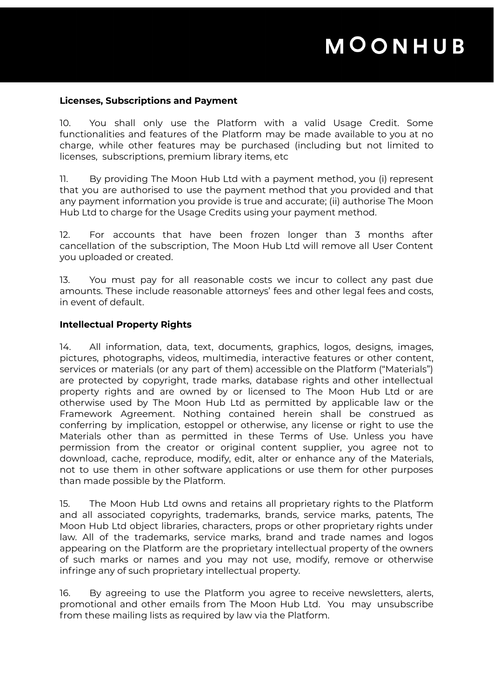#### **Licenses, Subscriptions and Payment**

10. You shall only use the Platform with a valid Usage Credit. Some functionalities and features of the Platform may be made available to you at no charge, while other features may be purchased (including but not limited to licenses, subscriptions, premium library items, etc

11. By providing The Moon Hub Ltd with a payment method, you (i) represent that you are authorised to use the payment method that you provided and that any payment information you provide is true and accurate; (ii) authorise The Moon Hub Ltd to charge for the Usage Credits using your payment method.

12. For accounts that have been frozen longer than 3 months after cancellation of the subscription, The Moon Hub Ltd will remove all User Content you uploaded or created.

13. You must pay for all reasonable costs we incur to collect any past due amounts. These include reasonable attorneys' fees and other legal fees and costs, in event of default.

#### **Intellectual Property Rights**

14. All information, data, text, documents, graphics, logos, designs, images, pictures, photographs, videos, multimedia, interactive features or other content, services or materials (or any part of them) accessible on the Platform ("Materials") are protected by copyright, trade marks, database rights and other intellectual property rights and are owned by or licensed to The Moon Hub Ltd or are otherwise used by The Moon Hub Ltd as permitted by applicable law or the Framework Agreement. Nothing contained herein shall be construed as conferring by implication, estoppel or otherwise, any license or right to use the Materials other than as permitted in these Terms of Use. Unless you have permission from the creator or original content supplier, you agree not to download, cache, reproduce, modify, edit, alter or enhance any of the Materials, not to use them in other software applications or use them for other purposes than made possible by the Platform.

15. The Moon Hub Ltd owns and retains all proprietary rights to the Platform and all associated copyrights, trademarks, brands, service marks, patents, The Moon Hub Ltd object libraries, characters, props or other proprietary rights under law. All of the trademarks, service marks, brand and trade names and logos appearing on the Platform are the proprietary intellectual property of the owners of such marks or names and you may not use, modify, remove or otherwise infringe any of such proprietary intellectual property.

16. By agreeing to use the Platform you agree to receive newsletters, alerts, promotional and other emails from The Moon Hub Ltd. You may unsubscribe from these mailing lists as required by law via the Platform.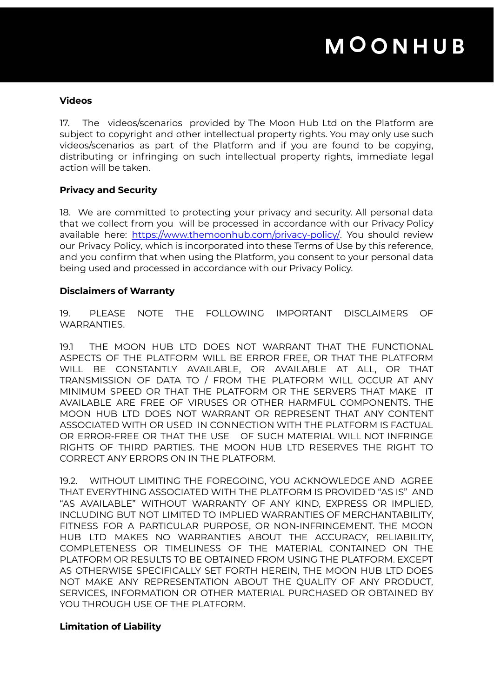#### **Videos**

17. The videos/scenarios provided by The Moon Hub Ltd on the Platform are subject to copyright and other intellectual property rights. You may only use such videos/scenarios as part of the Platform and if you are found to be copying, distributing or infringing on such intellectual property rights, immediate legal action will be taken.

### **Privacy and Security**

18. We are committed to protecting your privacy and security. All personal data that we collect from you will be processed in accordance with our Privacy Policy available here: <https://www.themoonhub.com/privacy-policy/>. You should review our Privacy Policy, which is incorporated into these Terms of Use by this reference, and you confirm that when using the Platform, you consent to your personal data being used and processed in accordance with our Privacy Policy.

#### **Disclaimers of Warranty**

19. PLEASE NOTE THE FOLLOWING IMPORTANT DISCLAIMERS OF WARRANTIES.

19.1 THE MOON HUB LTD DOES NOT WARRANT THAT THE FUNCTIONAL ASPECTS OF THE PLATFORM WILL BE ERROR FREE, OR THAT THE PLATFORM WILL BE CONSTANTLY AVAILABLE, OR AVAILABLE AT ALL, OR THAT TRANSMISSION OF DATA TO / FROM THE PLATFORM WILL OCCUR AT ANY MINIMUM SPEED OR THAT THE PLATFORM OR THE SERVERS THAT MAKE IT AVAILABLE ARE FREE OF VIRUSES OR OTHER HARMFUL COMPONENTS. THE MOON HUB LTD DOES NOT WARRANT OR REPRESENT THAT ANY CONTENT ASSOCIATED WITH OR USED IN CONNECTION WITH THE PLATFORM IS FACTUAL OR ERROR-FREE OR THAT THE USE OF SUCH MATERIAL WILL NOT INFRINGE RIGHTS OF THIRD PARTIES. THE MOON HUB LTD RESERVES THE RIGHT TO CORRECT ANY ERRORS ON IN THE PLATFORM.

19.2. WITHOUT LIMITING THE FOREGOING, YOU ACKNOWLEDGE AND AGREE THAT EVERYTHING ASSOCIATED WITH THE PLATFORM IS PROVIDED "AS IS" AND "AS AVAILABLE" WITHOUT WARRANTY OF ANY KIND, EXPRESS OR IMPLIED, INCLUDING BUT NOT LIMITED TO IMPLIED WARRANTIES OF MERCHANTABILITY, FITNESS FOR A PARTICULAR PURPOSE, OR NON-INFRINGEMENT. THE MOON HUB LTD MAKES NO WARRANTIES ABOUT THE ACCURACY, RELIABILITY, COMPLETENESS OR TIMELINESS OF THE MATERIAL CONTAINED ON THE PLATFORM OR RESULTS TO BE OBTAINED FROM USING THE PLATFORM. EXCEPT AS OTHERWISE SPECIFICALLY SET FORTH HEREIN, THE MOON HUB LTD DOES NOT MAKE ANY REPRESENTATION ABOUT THE QUALITY OF ANY PRODUCT, SERVICES, INFORMATION OR OTHER MATERIAL PURCHASED OR OBTAINED BY YOU THROUGH USE OF THE PLATFORM.

### **Limitation of Liability**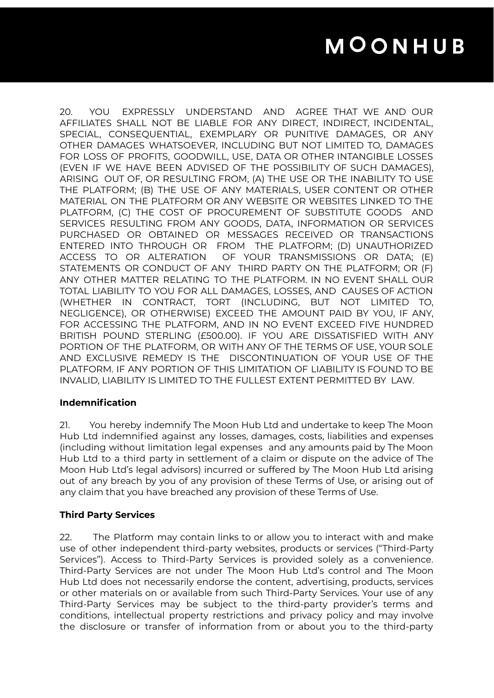20. YOU EXPRESSLY UNDERSTAND AND AGREE THAT WE AND OUR AFFILIATES SHALL NOT BE LIABLE FOR ANY DIRECT, INDIRECT, INCIDENTAL, SPECIAL, CONSEQUENTIAL, EXEMPLARY OR PUNITIVE DAMAGES, OR ANY OTHER DAMAGES WHATSOEVER, INCLUDING BUT NOT LIMITED TO, DAMAGES FOR LOSS OF PROFITS, GOODWILL, USE, DATA OR OTHER INTANGIBLE LOSSES (EVEN IF WE HAVE BEEN ADVISED OF THE POSSIBILITY OF SUCH DAMAGES), ARISING OUT OF, OR RESULTING FROM, (A) THE USE OR THE INABILITY TO USE THE PLATFORM; (B) THE USE OF ANY MATERIALS, USER CONTENT OR OTHER MATERIAL ON THE PLATFORM OR ANY WEBSITE OR WEBSITES LINKED TO THE PLATFORM, (C) THE COST OF PROCUREMENT OF SUBSTITUTE GOODS AND SERVICES RESULTING FROM ANY GOODS, DATA, INFORMATION OR SERVICES PURCHASED OR OBTAINED OR MESSAGES RECEIVED OR TRANSACTIONS ENTERED INTO THROUGH OR FROM THE PLATFORM; (D) UNAUTHORIZED ACCESS TO OR ALTERATION OF YOUR TRANSMISSIONS OR DATA; (E) STATEMENTS OR CONDUCT OF ANY THIRD PARTY ON THE PLATFORM; OR (F) ANY OTHER MATTER RELATING TO THE PLATFORM. IN NO EVENT SHALL OUR TOTAL LIABILITY TO YOU FOR ALL DAMAGES, LOSSES, AND CAUSES OF ACTION (WHETHER IN CONTRACT, TORT (INCLUDING, BUT NOT LIMITED TO, NEGLIGENCE), OR OTHERWISE) EXCEED THE AMOUNT PAID BY YOU, IF ANY, FOR ACCESSING THE PLATFORM, AND IN NO EVENT EXCEED FIVE HUNDRED BRITISH POUND STERLING (£500.00). IF YOU ARE DISSATISFIED WITH ANY PORTION OF THE PLATFORM, OR WITH ANY OF THE TERMS OF USE, YOUR SOLE AND EXCLUSIVE REMEDY IS THE DISCONTINUATION OF YOUR USE OF THE PLATFORM. IF ANY PORTION OF THIS LIMITATION OF LIABILITY IS FOUND TO BE INVALID, LIABILITY IS LIMITED TO THE FULLEST EXTENT PERMITTED BY LAW.

### **Indemnification**

21. You hereby indemnify The Moon Hub Ltd and undertake to keep The Moon Hub Ltd indemnified against any losses, damages, costs, liabilities and expenses (including without limitation legal expenses and any amounts paid by The Moon Hub Ltd to a third party in settlement of a claim or dispute on the advice of The Moon Hub Ltd's legal advisors) incurred or suffered by The Moon Hub Ltd arising out of any breach by you of any provision of these Terms of Use, or arising out of any claim that you have breached any provision of these Terms of Use.

### **Third Party Services**

22. The Platform may contain links to or allow you to interact with and make use of other independent third-party websites, products or services ("Third-Party Services"). Access to Third-Party Services is provided solely as a convenience. Third-Party Services are not under The Moon Hub Ltd's control and The Moon Hub Ltd does not necessarily endorse the content, advertising, products, services or other materials on or available from such Third-Party Services. Your use of any Third-Party Services may be subject to the third-party provider's terms and conditions, intellectual property restrictions and privacy policy and may involve the disclosure or transfer of information from or about you to the third-party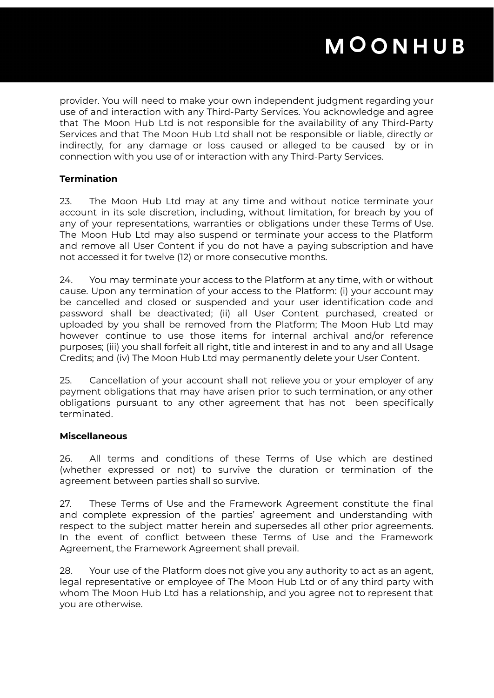provider. You will need to make your own independent judgment regarding your use of and interaction with any Third-Party Services. You acknowledge and agree that The Moon Hub Ltd is not responsible for the availability of any Third-Party Services and that The Moon Hub Ltd shall not be responsible or liable, directly or indirectly, for any damage or loss caused or alleged to be caused by or in connection with you use of or interaction with any Third-Party Services.

## **Termination**

23. The Moon Hub Ltd may at any time and without notice terminate your account in its sole discretion, including, without limitation, for breach by you of any of your representations, warranties or obligations under these Terms of Use. The Moon Hub Ltd may also suspend or terminate your access to the Platform and remove all User Content if you do not have a paying subscription and have not accessed it for twelve (12) or more consecutive months.

24. You may terminate your access to the Platform at any time, with or without cause. Upon any termination of your access to the Platform: (i) your account may be cancelled and closed or suspended and your user identification code and password shall be deactivated; (ii) all User Content purchased, created or uploaded by you shall be removed from the Platform; The Moon Hub Ltd may however continue to use those items for internal archival and/or reference purposes; (iii) you shall forfeit all right, title and interest in and to any and all Usage Credits; and (iv) The Moon Hub Ltd may permanently delete your User Content.

25. Cancellation of your account shall not relieve you or your employer of any payment obligations that may have arisen prior to such termination, or any other obligations pursuant to any other agreement that has not been specifically terminated.

#### **Miscellaneous**

26. All terms and conditions of these Terms of Use which are destined (whether expressed or not) to survive the duration or termination of the agreement between parties shall so survive.

27. These Terms of Use and the Framework Agreement constitute the final and complete expression of the parties' agreement and understanding with respect to the subject matter herein and supersedes all other prior agreements. In the event of conflict between these Terms of Use and the Framework Agreement, the Framework Agreement shall prevail.

28. Your use of the Platform does not give you any authority to act as an agent, legal representative or employee of The Moon Hub Ltd or of any third party with whom The Moon Hub Ltd has a relationship, and you agree not to represent that you are otherwise.